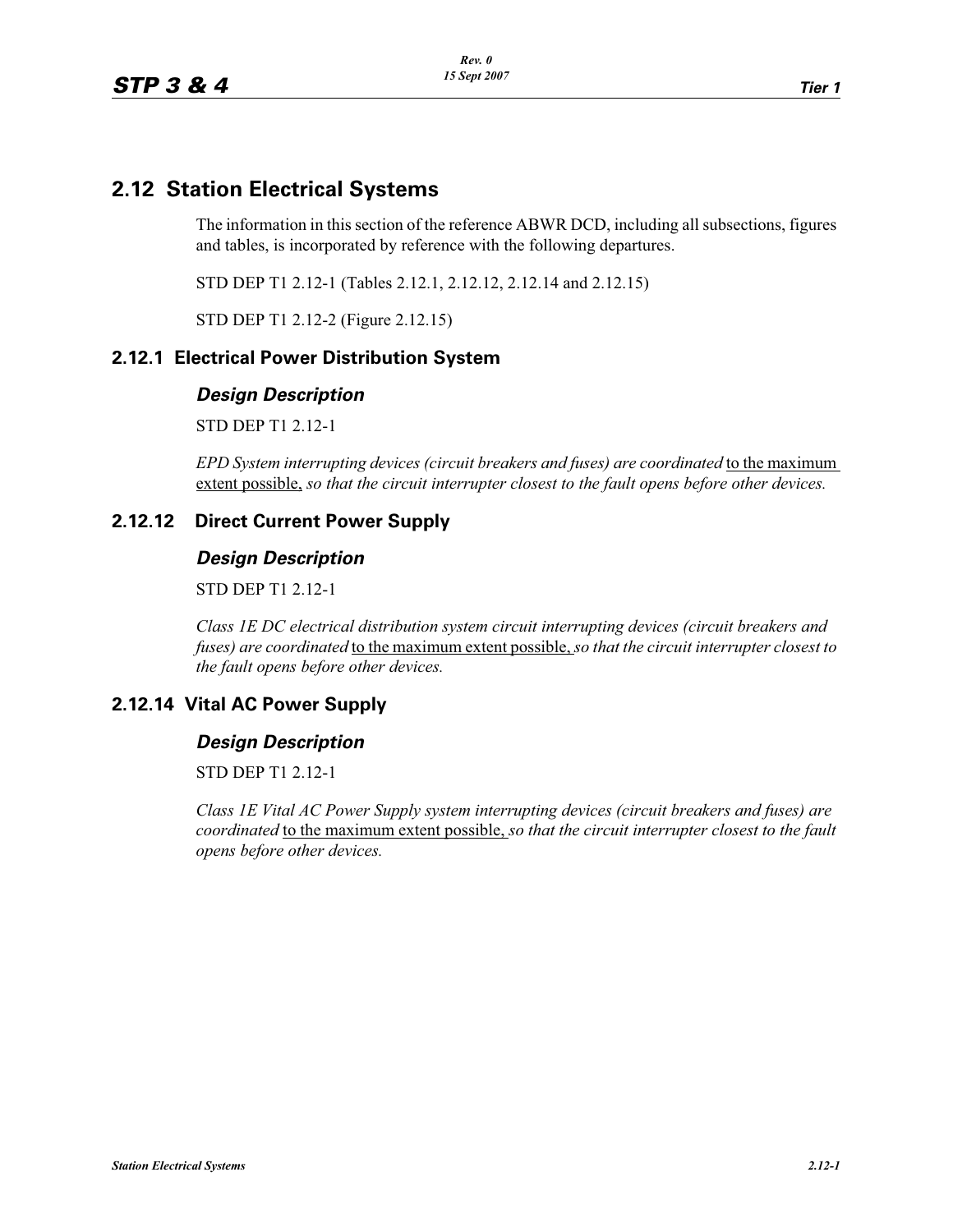## **2.12 Station Electrical Systems**

The information in this section of the reference ABWR DCD, including all subsections, figures and tables, is incorporated by reference with the following departures.

STD DEP T1 2.12-1 (Tables 2.12.1, 2.12.12, 2.12.14 and 2.12.15)

STD DEP T1 2.12-2 (Figure 2.12.15)

### **2.12.1 Electrical Power Distribution System**

## *Design Description*

STD DEP T1 2.12-1

*EPD System interrupting devices (circuit breakers and fuses) are coordinated* to the maximum extent possible, *so that the circuit interrupter closest to the fault opens before other devices.*

#### **2.12.12 Direct Current Power Supply**

## *Design Description*

STD DEP T1 2.12-1

*Class 1E DC electrical distribution system circuit interrupting devices (circuit breakers and fuses) are coordinated* to the maximum extent possible, *so that the circuit interrupter closest to the fault opens before other devices.*

#### **2.12.14 Vital AC Power Supply**

# *Design Description*

STD DEP T1 2.12-1

*Class 1E Vital AC Power Supply system interrupting devices (circuit breakers and fuses) are coordinated* to the maximum extent possible, *so that the circuit interrupter closest to the fault opens before other devices.*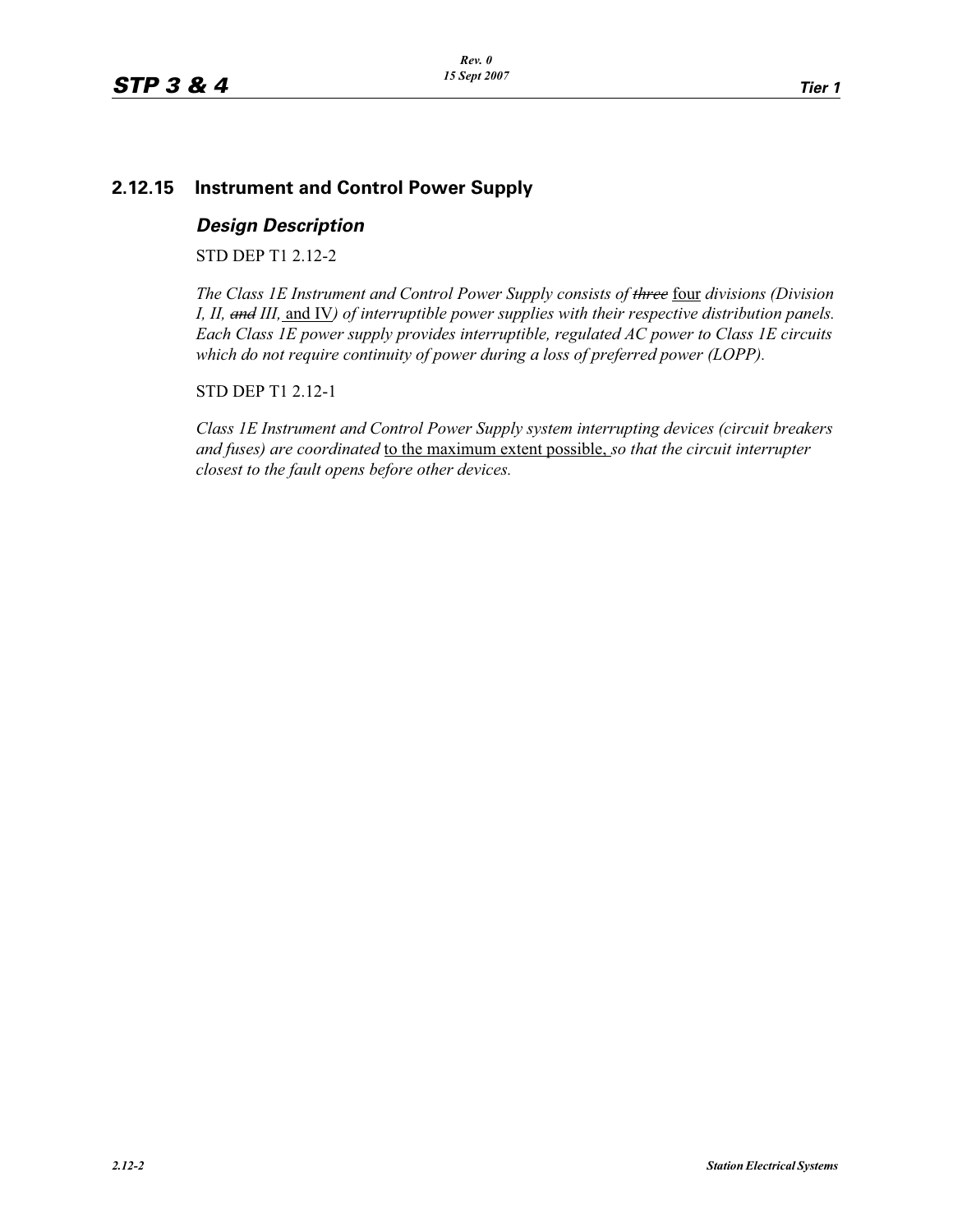### **2.12.15 Instrument and Control Power Supply**

*Design Description* STD DEP T1 2.12-2

*The Class 1E Instrument and Control Power Supply consists of three* four *divisions (Division I, II, and III,* and IV*) of interruptible power supplies with their respective distribution panels. Each Class 1E power supply provides interruptible, regulated AC power to Class 1E circuits which do not require continuity of power during a loss of preferred power (LOPP).*

STD DEP T1 2.12-1

*Class 1E Instrument and Control Power Supply system interrupting devices (circuit breakers and fuses) are coordinated* to the maximum extent possible, *so that the circuit interrupter closest to the fault opens before other devices.*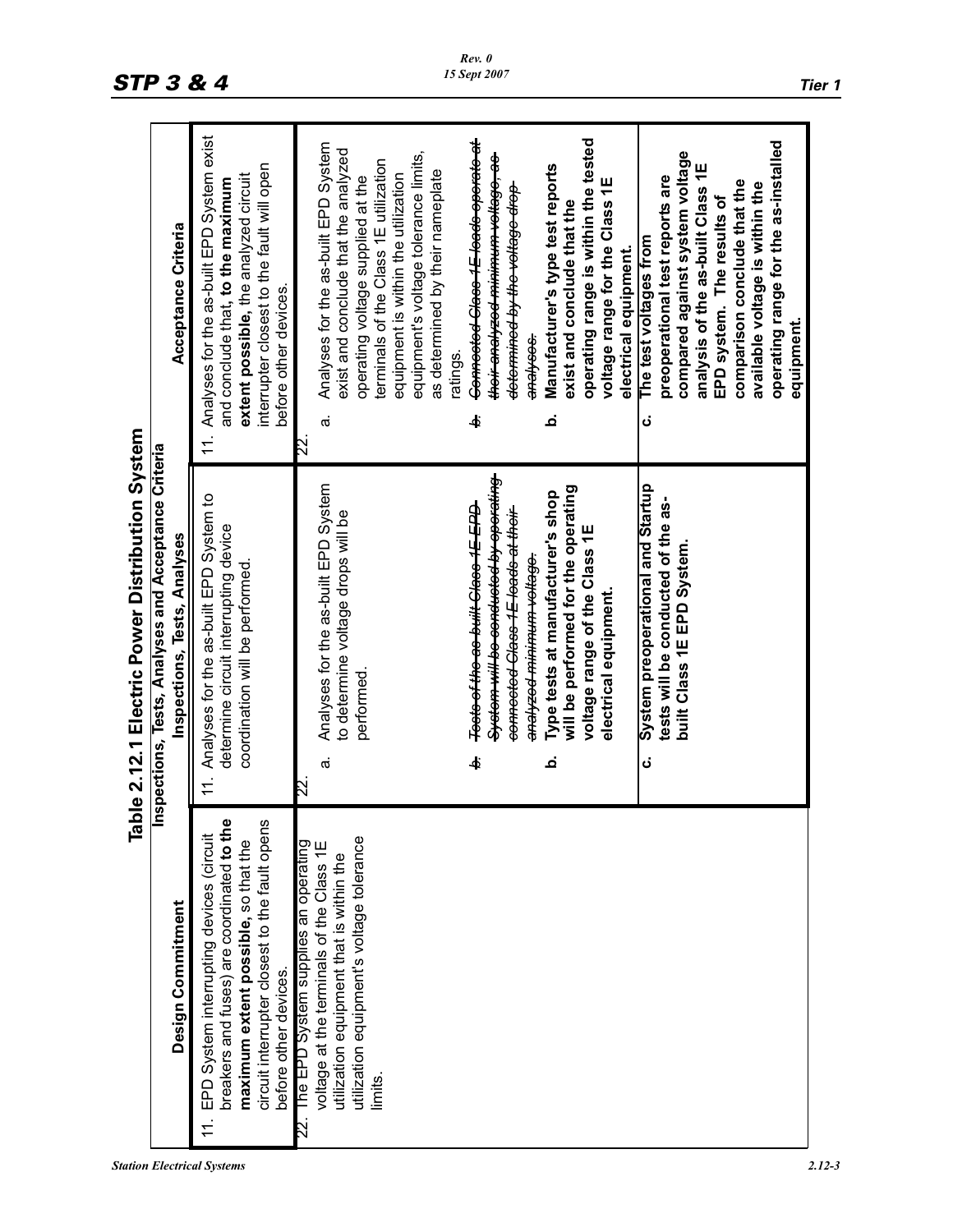| <b>Station Electrical Systems</b> | $2.12 - 3$ |
|-----------------------------------|------------|
|-----------------------------------|------------|

| Table 2.12.1 Electric Power Distribution System | <b>Inspections, Tests, Analyses and Acceptance Criteria</b> | Acceptance Criteria<br>Inspections, Tests, Analyses | Analyses for the as-built EPD System exist<br>interrupter closest to the fault will open<br>extent possible, the analyzed circuit<br>and conclude that, to the maximum<br>before other devices.<br>11.<br>11. Analyses for the as-built EPD System to<br>determine circuit interrupting device<br>coordination will be performed | Connected Class 1E leads operate at<br>operating range is within the tested<br>operating range for the as-installed<br>Analyses for the as-built EPD System<br>exist and conclude that the analyzed<br>compared against system voltage<br>equipment's voltage tolerance limits,<br><del>thoir analyzed minimum voltage, as-</del><br>terminals of the Class 1E utilization<br>analysis of the as-built Class 1E<br>Manufacturer's type test reports<br>as determined by their nameplate<br>equipment is within the utilization<br>operating voltage supplied at the<br>preoperational test reports are<br>voltage range for the Class 1E<br>comparison conclude that the<br>available voltage is within the<br><del>determined by the voltage drop</del><br>EPD system. The results of<br>exist and conclude that the<br>The test voltages from<br>electrical equipment.<br><del>analyses.</del><br>ratings<br>نم<br>ቀ<br>ن<br>$\vec{\sigma}$<br>$\boxtimes$<br><del>System will be conducted by operating</del><br>Analyses for the as-built EPD System<br>System preoperational and Startup<br>will be performed for the operating<br>Type tests at manufacturer's shop<br>tests will be conducted of the as-<br><del>Tests of the as built Class 1E EPD</del><br>connected Class 1E leads at their<br>to determine voltage drops will be<br>voltage range of the Class 1E<br>built Class 1E EPD System.<br><del>analyzod minimum voltage.</del><br>electrical equipment.<br>performed.<br>ቀ<br>ن<br>$\dot{\sigma}$<br>م<br>22 |
|-------------------------------------------------|-------------------------------------------------------------|-----------------------------------------------------|----------------------------------------------------------------------------------------------------------------------------------------------------------------------------------------------------------------------------------------------------------------------------------------------------------------------------------|----------------------------------------------------------------------------------------------------------------------------------------------------------------------------------------------------------------------------------------------------------------------------------------------------------------------------------------------------------------------------------------------------------------------------------------------------------------------------------------------------------------------------------------------------------------------------------------------------------------------------------------------------------------------------------------------------------------------------------------------------------------------------------------------------------------------------------------------------------------------------------------------------------------------------------------------------------------------------------------------------------------------------------------------------------------------------------------------------------------------------------------------------------------------------------------------------------------------------------------------------------------------------------------------------------------------------------------------------------------------------------------------------------------------------------------------------------------------------------------------------------------------------------|
|                                                 |                                                             | Design Commitment                                   | breakers and fuses) are coordinated to the<br>circuit interrupter closest to the fault opens<br>EPD System interrupting devices (circuit<br>maximum extent possible, so that the<br>before other devices.                                                                                                                        | utilization equipment's voltage tolerance<br>The EPD System supplies an operating<br>voltage at the terminals of the Class 1E<br>utilization equipment that is within the<br>limits                                                                                                                                                                                                                                                                                                                                                                                                                                                                                                                                                                                                                                                                                                                                                                                                                                                                                                                                                                                                                                                                                                                                                                                                                                                                                                                                              |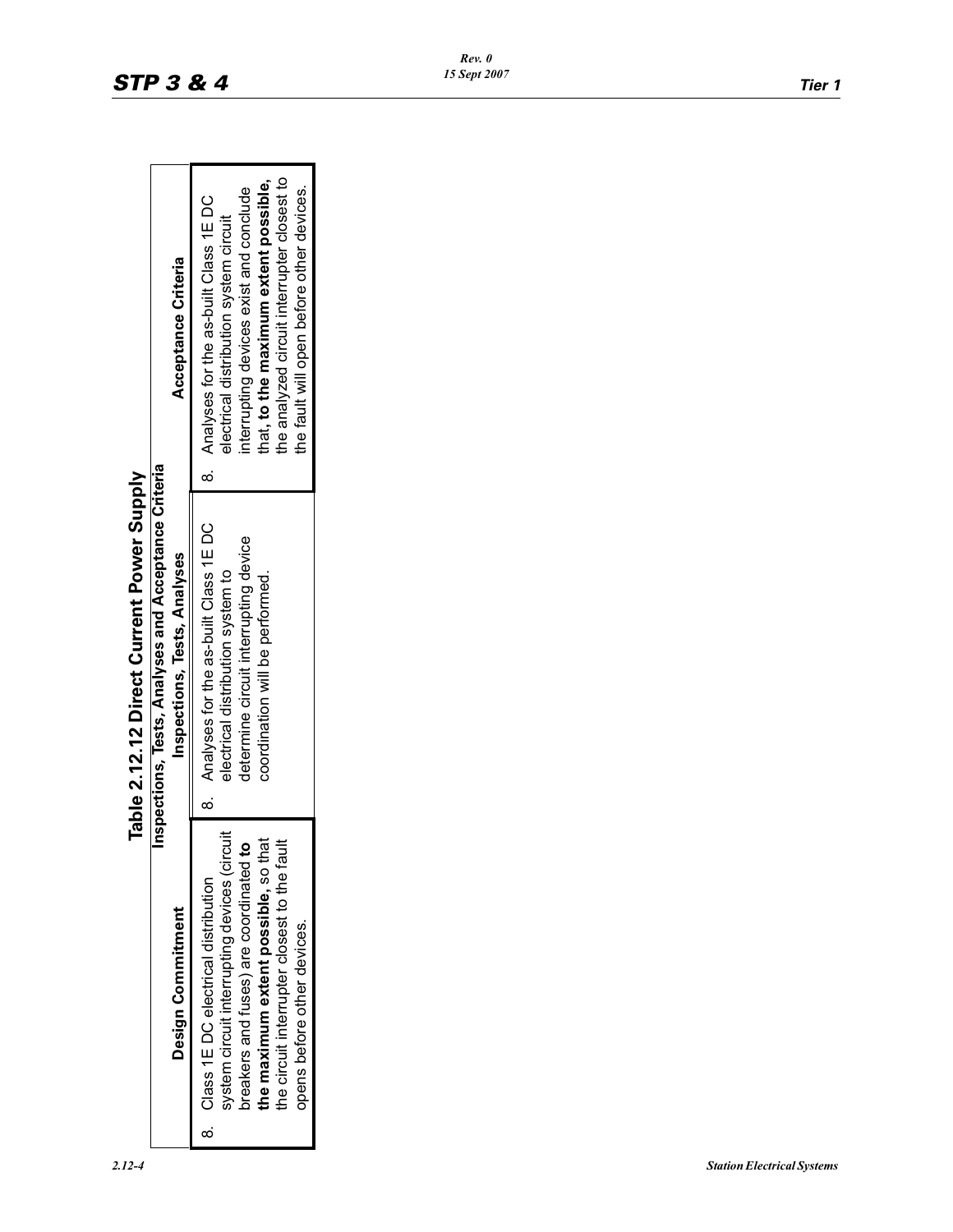|                                                   | Table 2.12.12 Direct Current Power Supply            |                                             |
|---------------------------------------------------|------------------------------------------------------|---------------------------------------------|
|                                                   | Inspections, Tests, Analyses and Acceptance Criteria |                                             |
| Design Commitment                                 | Inspections, Tests, Analyses                         | <b>Acceptance Criteria</b>                  |
| 8. Class 1E DC electrical distribution            | 8. Analyses for the as-built Class 1EDC              | 8. Analyses for the as-built Class 1E DC    |
| system circuit interrupting devices (circuit      | electrical distribution system to                    | electrical distribution system circuit      |
| oreakers and fuses) are coordinated to            | determine circuit interrupting device                | interrupting devices exist and conclude     |
| the maximum extent possible, so that              | coordination will be performed.                      | that, to the maximum extent possible,       |
| tault<br>the circuit interrupter closest to the f |                                                      | the analyzed circuit interrupter closest to |
| opens before other devices.                       |                                                      | the fault will open before other devices.   |

Table 2.12.12 Direct Current Power Supply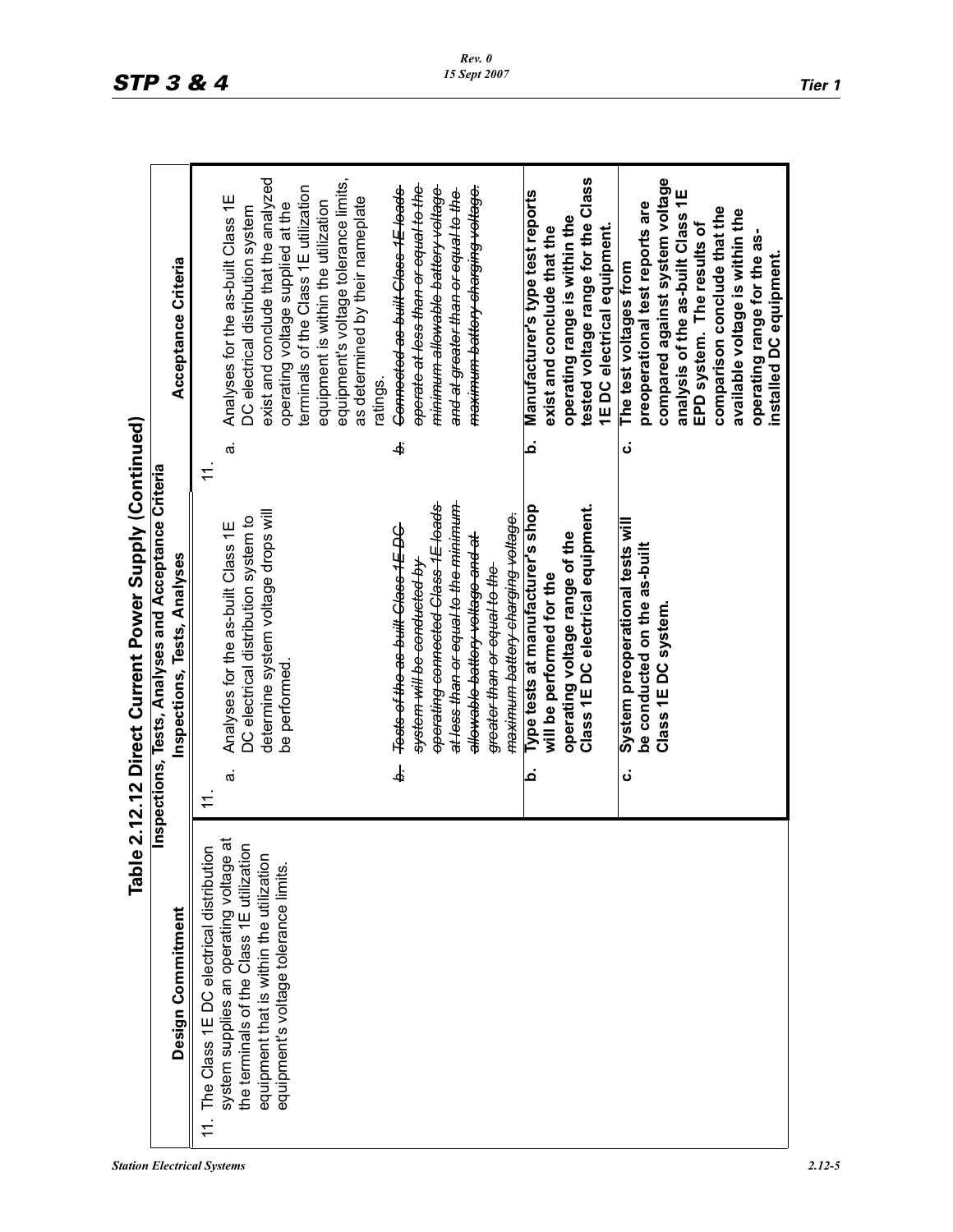*Station Electrical Systems 2.12-5*

|                                                                                                |                | Inspections, Tests, Analyses and Acceptance Criteria                       |                |                                                                           |
|------------------------------------------------------------------------------------------------|----------------|----------------------------------------------------------------------------|----------------|---------------------------------------------------------------------------|
| Design Commitment                                                                              |                | Inspections, Tests, Analyses                                               |                | Acceptance Criteria                                                       |
| The Class 1E DC electrical distribution                                                        | $\tilde{+}$    | $\tilde{1}$                                                                |                |                                                                           |
| $\vec{a}$<br>the terminals of the Class 1E utilization<br>system supplies an operating voltage | $\dot{\sigma}$ | DC electrical distribution system to<br>Analyses for the as-built Class 1E | $\vec{\sigma}$ | Analyses for the as-built Class 1E<br>DC electrical distribution system   |
| equipment that is within the utilization                                                       |                | determine system voltage drops will                                        |                | exist and conclude that the analyzed                                      |
| equipment's voltage tolerance limits.                                                          |                | be performed                                                               |                | operating voltage supplied at the                                         |
|                                                                                                |                |                                                                            |                | terminals of the Class 1E utilization                                     |
|                                                                                                |                |                                                                            |                | equipment is within the utilization                                       |
|                                                                                                |                |                                                                            |                | equipment's voltage tolerance limits,<br>as determined by their nameplate |
|                                                                                                |                |                                                                            |                | ratings.                                                                  |
|                                                                                                | نم             | Tests of the as built Class 1E DC                                          | Ġ.             | Connected as built Class 1E leads                                         |
|                                                                                                |                | <del>system will be conducted by</del>                                     |                | <del>operate at less than or equal to the</del>                           |
|                                                                                                |                | operating connected Class 1E loads                                         |                | <del>minimum allowable battery voltage</del>                              |
|                                                                                                |                | <del>at less than or equal to the minimum-</del>                           |                | and at greater than or equal to the                                       |
|                                                                                                |                | <del>allowable battery voltage and at</del>                                |                | <del>maximum battery charging voltage.</del>                              |
|                                                                                                |                | <del>greater than or equal to the</del>                                    |                |                                                                           |
|                                                                                                |                | <del>maximum battery charging voltage.</del>                               |                |                                                                           |
|                                                                                                | م              | Type tests at manufacturer's shop                                          | م              | Manufacturer's type test reports                                          |
|                                                                                                |                | will be performed for the                                                  |                | exist and conclude that the                                               |
|                                                                                                |                | operating voltage range of the                                             |                | operating range is within the                                             |
|                                                                                                |                | Class 1E DC electrical equipment.                                          |                | tested voltage range for the Class                                        |
|                                                                                                |                |                                                                            |                | 1E DC electrical equipment.                                               |
|                                                                                                | ن<br>          | System preoperational tests will                                           | ن              | The test voltages from                                                    |
|                                                                                                |                | be conducted on the as-built                                               |                | preoperational test reports are                                           |
|                                                                                                |                | Class 1EDC system.                                                         |                | compared against system voltage                                           |
|                                                                                                |                |                                                                            |                | analysis of the as-built Class 1E                                         |
|                                                                                                |                |                                                                            |                | EPD system. The results of                                                |
|                                                                                                |                |                                                                            |                | comparison conclude that the                                              |
|                                                                                                |                |                                                                            |                | available voltage is within the                                           |
|                                                                                                |                |                                                                            |                | operating range for the as-                                               |
|                                                                                                |                |                                                                            |                | installed DC equipment.                                                   |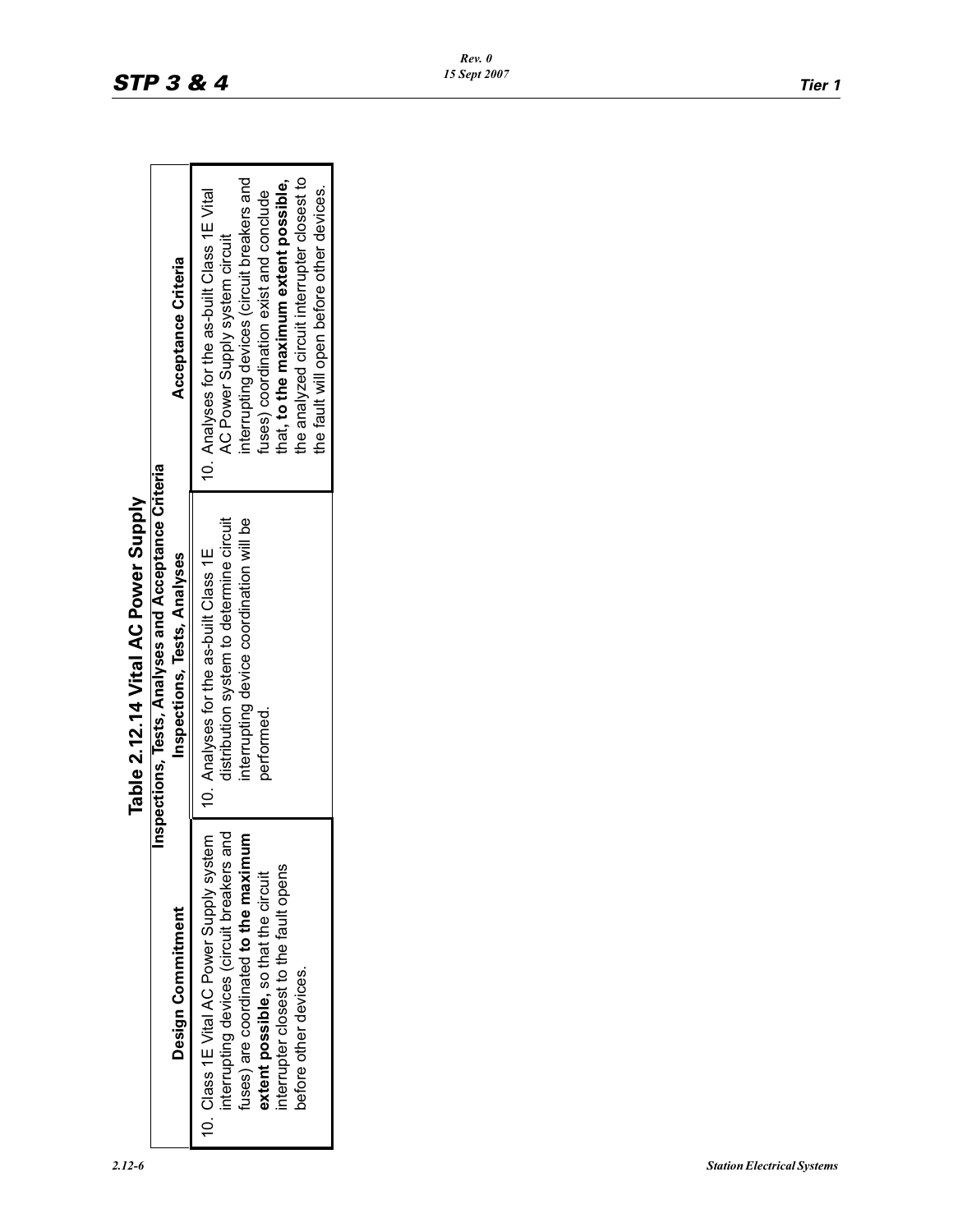| Table 2.12.14 Vital AC Power Supply | Inspections, Tests, Analyses and Acceptance Criteria | Acceptance Criteria<br>Inspections, Tests, Analyses | interrupting devices (circuit breakers and<br>the analyzed circuit interrupter closest to<br>that, to the maximum extent possible,<br>the fault will open before other devices.<br>10. Analyses for the as-built Class 1E Vital<br>fuses) coordination exist and conclude<br>AC Power Supply system circuit<br>distribution system to determine circuit<br>interrupting device coordination will be<br>10. Analyses for the as-built Class 1E<br>performed. |
|-------------------------------------|------------------------------------------------------|-----------------------------------------------------|-------------------------------------------------------------------------------------------------------------------------------------------------------------------------------------------------------------------------------------------------------------------------------------------------------------------------------------------------------------------------------------------------------------------------------------------------------------|
|                                     |                                                      | Design Commitment                                   | 10. Class 1E Vital AC Power Supply system<br>interrupting devices (circuit breakers and<br>uses) are coordinated to the maximum<br>nterrupter closest to the fault opens<br>extent possible, so that the circuit<br>before other devices.                                                                                                                                                                                                                   |

Table 2 12 14 Vital AC Power Supply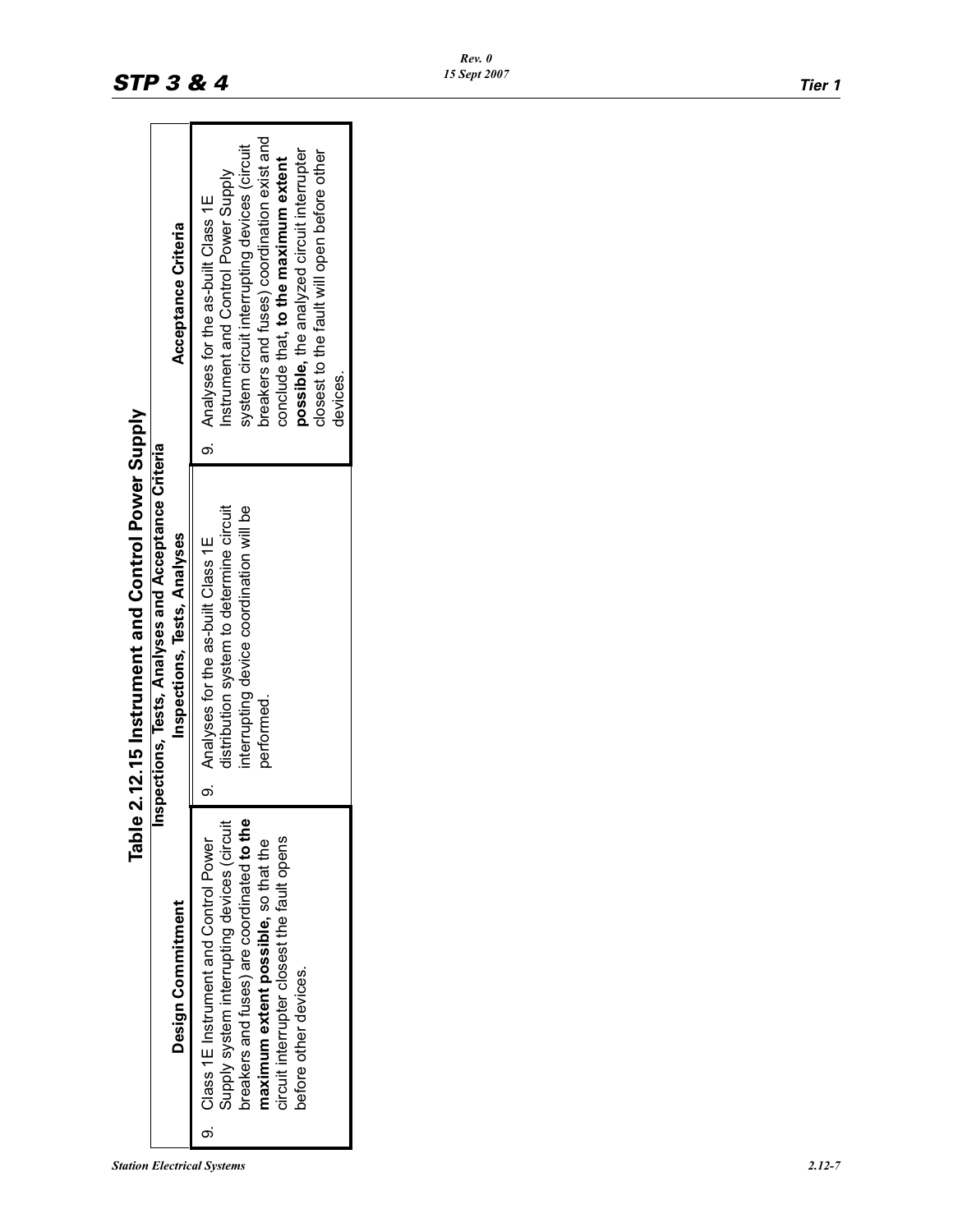| Tabl.                                                                                                                                                                                                                                                 | le 2.12.15 Instrument and Control Power Supply                                                                                              |                                                                                                                                                                                                                                                                                                                 |
|-------------------------------------------------------------------------------------------------------------------------------------------------------------------------------------------------------------------------------------------------------|---------------------------------------------------------------------------------------------------------------------------------------------|-----------------------------------------------------------------------------------------------------------------------------------------------------------------------------------------------------------------------------------------------------------------------------------------------------------------|
|                                                                                                                                                                                                                                                       | Inspections, Tests, Analyses and Acceptance Criteria                                                                                        |                                                                                                                                                                                                                                                                                                                 |
| Design Commitment                                                                                                                                                                                                                                     | Inspections, Tests, Analyses                                                                                                                | Acceptance Criteria                                                                                                                                                                                                                                                                                             |
| breakers and fuses) are coordinated to the<br>Supply system interrupting devices (circuit<br>circuit interrupter closest the fault opens<br>9. Class 1E Instrument and Control Power<br>maximum extent possible, so that the<br>before other devices. | distribution system to determine circuit<br>interrupting device coordination will be<br>9. Analyses for the as-built Class 1E<br>performed. | breakers and fuses) coordination exist and<br>system circuit interrupting devices (circuit<br>possible, the analyzed circuit interrupter<br>closest to the fault will open before other<br>conclude that, to the maximum extent<br>Instrument and Control Power Supply<br>9. Analyses for the as-built Class 1E |
|                                                                                                                                                                                                                                                       |                                                                                                                                             | devices.                                                                                                                                                                                                                                                                                                        |

ń Ū  $\frac{1}{2}$ Ń  $\mathbf C$ é, きん イラ  $\mathbf{c}$  I